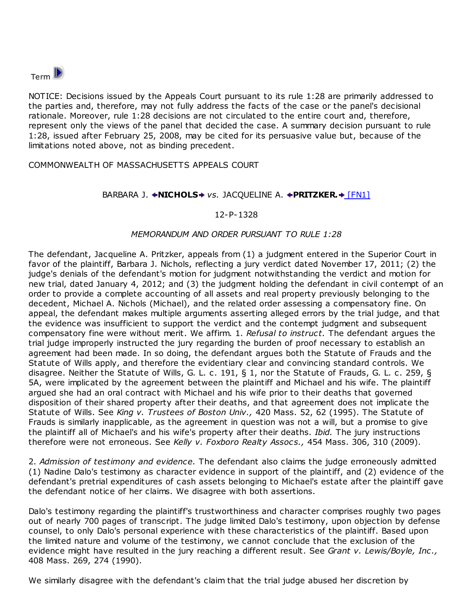

NOTICE: Decisions issued by the Appeals Court pursuant to its rule 1:28 are primarily addressed to the parties and, therefore, may not fully address the facts of the case or the panel's decisional rationale. Moreover, rule 1:28 decisions are not circulated to the entire court and, therefore, represent only the views of the panel that decided the case. A summary decision pursuant to rule 1:28, issued after February 25, 2008, may be cited for its persuasive value but, because of the limitations noted above, not as binding precedent.

## COMMONWEALTH OF MASSACHUSETTS APPEALS COURT

## BARBARA J. +[N](http://weblinks.westlaw.com/result/default.aspx?action=Search&cnt=DOC&db=MA%2DORCS%2DWEB&eq=search&fmqv=c&fn=%5Ftop&method=TNC&n=1&origin=Search&query=CO%28APPFTT%29+%26+DA%2808%2F08%2F2013%29+%26+TI%28NICHOLS+%26+PRITZKER%29&rlt=CLID%5FQRYRLT224842349988&rltdb=CLID%5FDB12342349988&rlti=1&rp=%2Fsearch%2Fdefault%2Ewl&rs=MACS1%2E0&service=Search&sp=MassOF%2D1001&srch=TRUE&ss=CNT&sskey=CLID%5FSSSA842502349988&vr=1%2E0#TopOfDocument)ICHOL[S](http://weblinks.westlaw.com/result/default.aspx?action=Search&cnt=DOC&db=MA%2DORCS%2DWEB&eq=search&fmqv=c&fn=%5Ftop&method=TNC&n=1&origin=Search&query=CO%28APPFTT%29+%26+DA%2808%2F08%2F2013%29+%26+TI%28NICHOLS+%26+PRITZKER%29&rlt=CLID%5FQRYRLT224842349988&rltdb=CLID%5FDB12342349988&rlti=1&rp=%2Fsearch%2Fdefault%2Ewl&rs=MACS1%2E0&service=Search&sp=MassOF%2D1001&srch=TRUE&ss=CNT&sskey=CLID%5FSSSA842502349988&vr=1%2E0#SearchTerm2)+ vs. JACQUELINE A. +[P](http://weblinks.westlaw.com/result/default.aspx?action=Search&cnt=DOC&db=MA%2DORCS%2DWEB&eq=search&fmqv=c&fn=%5Ftop&method=TNC&n=1&origin=Search&query=CO%28APPFTT%29+%26+DA%2808%2F08%2F2013%29+%26+TI%28NICHOLS+%26+PRITZKER%29&rlt=CLID%5FQRYRLT224842349988&rltdb=CLID%5FDB12342349988&rlti=1&rp=%2Fsearch%2Fdefault%2Ewl&rs=MACS1%2E0&service=Search&sp=MassOF%2D1001&srch=TRUE&ss=CNT&sskey=CLID%5FSSSA842502349988&vr=1%2E0#SearchTerm1)RITZKER[.](http://weblinks.westlaw.com/result/default.aspx?action=Search&cnt=DOC&db=MA%2DORCS%2DWEB&eq=search&fmqv=c&fn=%5Ftop&method=TNC&n=1&origin=Search&query=CO%28APPFTT%29+%26+DA%2808%2F08%2F2013%29+%26+TI%28NICHOLS+%26+PRITZKER%29&rlt=CLID%5FQRYRLT224842349988&rltdb=CLID%5FDB12342349988&rlti=1&rp=%2Fsearch%2Fdefault%2Ewl&rs=MACS1%2E0&service=Search&sp=MassOF%2D1001&srch=TRUE&ss=CNT&sskey=CLID%5FSSSA842502349988&vr=1%2E0#SearchTerm3) + [\[FN1\]](http://weblinks.westlaw.com/result/default.aspx?action=Search&cnt=DOC&db=MA%2DORCS%2DWEB&eq=search&fmqv=c&fn=%5Ftop&method=TNC&n=1&origin=Search&query=CO%28APPFTT%29+%26+DA%2808%2F08%2F2013%29+%26+TI%28NICHOLS+%26+PRITZKER%29&rlt=CLID%5FQRYRLT224842349988&rltdb=CLID%5FDB12342349988&rlti=1&rp=%2Fsearch%2Fdefault%2Ewl&rs=MACS1%2E0&service=Search&sp=MassOF%2D1001&srch=TRUE&ss=CNT&sskey=CLID%5FSSSA842502349988&vr=1%2E0#FN;F0011)

## 12-P-1328

## MEMORANDUM AND ORDER PURSUANT TO RULE 1:28

The defendant, Jacqueline A. Pritzker, appeals from (1) a judgment entered in the Superior Court in favor of the plaintiff, Barbara J. Nichols, reflecting a jury verdict dated November 17, 2011; (2) the judge's denials of the defendant's motion for judgment notwithstanding the verdict and motion for new trial, dated January 4, 2012; and (3) the judgment holding the defendant in civil contempt of an order to provide a complete accounting of all assets and real property previously belonging to the decedent, Michael A. Nichols (Michael), and the related order assessing a compensatory fine. On appeal, the defendant makes multiple arguments asserting alleged errors by the trial judge, and that the evidence was insufficient to support the verdict and the contempt judgment and subsequent compensatory fine were without merit. We affirm. 1. Refusal to instruct. The defendant argues the trial judge improperly instructed the jury regarding the burden of proof necessary to establish an agreement had been made. In so doing, the defendant argues both the Statute of Frauds and the Statute of Wills apply, and therefore the evidentiary clear and convincing standard controls. We disagree. Neither the Statute of Wills, G. L. c. 191, § 1, nor the Statute of Frauds, G. L. c. 259, § 5A, were implicated by the agreement between the plaintiff and Michael and his wife. The plaintiff argued she had an oral contract with Michael and his wife prior to their deaths that governed disposition of their shared property after their deaths, and that agreement does not implicate the Statute of Wills. See King v. Trustees of Boston Univ., 420 Mass. 52, 62 (1995). The Statute of Frauds is similarly inapplicable, as the agreement in question was not a will, but a promise to give the plaintiff all of Michael's and his wife's property after their deaths. *Ibid.* The jury instructions therefore were not erroneous. See Kelly v. Foxboro Realty Assocs., 454 Mass. 306, 310 (2009).

2. Admission of testimony and evidence. The defendant also claims the judge erroneously admitted (1) Nadine Dalo's testimony as character evidence in support of the plaintiff, and (2) evidence of the defendant's pretrial expenditures of cash assets belonging to Michael's estate after the plaintiff gave the defendant notice of her claims. We disagree with both assertions.

Dalo's testimony regarding the plaintiff's trustworthiness and character comprises roughly two pages out of nearly 700 pages of transcript. The judge limited Dalo's testimony, upon objection by defense counsel, to only Dalo's personal experience with these characteristics of the plaintiff. Based upon the limited nature and volume of the testimony, we cannot conclude that the exclusion of the evidence might have resulted in the jury reaching a different result. See Grant v. Lewis/Boyle, Inc., 408 Mass. 269, 274 (1990).

We similarly disagree with the defendant's claim that the trial judge abused her discretion by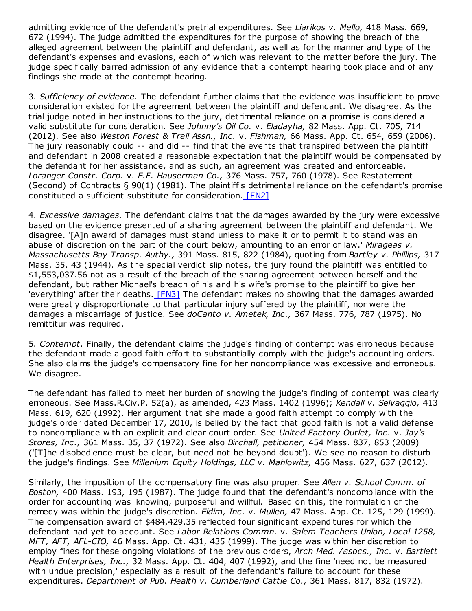admitting evidence of the defendant's pretrial expenditures. See Liarikos v. Mello, 418 Mass. 669, 672 (1994). The judge admitted the expenditures for the purpose of showing the breach of the alleged agreement between the plaintiff and defendant, as well as for the manner and type of the defendant's expenses and evasions, each of which was relevant to the matter before the jury. The judge specifically barred admission of any evidence that a contempt hearing took place and of any findings she made at the contempt hearing.

3. Sufficiency of evidence. The defendant further claims that the evidence was insufficient to prove consideration existed for the agreement between the plaintiff and defendant. We disagree. As the trial judge noted in her instructions to the jury, detrimental reliance on a promise is considered a valid substitute for consideration. See Johnny's Oil Co. v. Eladayha, 82 Mass. App. Ct. 705, 714 (2012). See also Weston Forest & Trail Assn., Inc. v. Fishman, 66 Mass. App. Ct. 654, 659 (2006). The jury reasonably could -- and did -- find that the events that transpired between the plaintiff and defendant in 2008 created a reasonable expectation that the plaintiff would be compensated by the defendant for her assistance, and as such, an agreement was created and enforceable. Loranger Constr. Corp. v. E.F. Hauserman Co., 376 Mass. 757, 760 (1978). See Restatement (Second) of Contracts § 90(1) (1981). The plaintiff's detrimental reliance on the defendant's promise constituted a sufficient substitute for consideration. [\[FN2\]](http://weblinks.westlaw.com/result/default.aspx?action=Search&cnt=DOC&db=MA%2DORCS%2DWEB&eq=search&fmqv=c&fn=%5Ftop&method=TNC&n=1&origin=Search&query=CO%28APPFTT%29+%26+DA%2808%2F08%2F2013%29+%26+TI%28NICHOLS+%26+PRITZKER%29&rlt=CLID%5FQRYRLT224842349988&rltdb=CLID%5FDB12342349988&rlti=1&rp=%2Fsearch%2Fdefault%2Ewl&rs=MACS1%2E0&service=Search&sp=MassOF%2D1001&srch=TRUE&ss=CNT&sskey=CLID%5FSSSA842502349988&vr=1%2E0#FN;F0032)

4. Excessive damages. The defendant claims that the damages awarded by the jury were excessive based on the evidence presented of a sharing agreement between the plaintiff and defendant. We disagree. '[A]n award of damages must stand unless to make it or to permit it to stand was an abuse of discretion on the part of the court below, amounting to an error of law.' Mirageas  $v$ . Massachusetts Bay Transp. Authy., 391 Mass. 815, 822 (1984), quoting from Bartley v. Phillips, 317 Mass. 35, 43 (1944). As the special verdict slip notes, the jury found the plaintiff was entitled to \$1,553,037.56 not as a result of the breach of the sharing agreement between herself and the defendant, but rather Michael's breach of his and his wife's promise to the plaintiff to give her 'everything' after their deaths. [\[FN3\]](http://weblinks.westlaw.com/result/default.aspx?action=Search&cnt=DOC&db=MA%2DORCS%2DWEB&eq=search&fmqv=c&fn=%5Ftop&method=TNC&n=1&origin=Search&query=CO%28APPFTT%29+%26+DA%2808%2F08%2F2013%29+%26+TI%28NICHOLS+%26+PRITZKER%29&rlt=CLID%5FQRYRLT224842349988&rltdb=CLID%5FDB12342349988&rlti=1&rp=%2Fsearch%2Fdefault%2Ewl&rs=MACS1%2E0&service=Search&sp=MassOF%2D1001&srch=TRUE&ss=CNT&sskey=CLID%5FSSSA842502349988&vr=1%2E0#FN;F0043) The defendant makes no showing that the damages awarded were greatly disproportionate to that particular injury suffered by the plaintiff, nor were the damages a miscarriage of justice. See doCanto v. Ametek, Inc., 367 Mass. 776, 787 (1975). No remittitur was required.

5. Contempt. Finally, the defendant claims the judge's finding of contempt was erroneous because the defendant made a good faith effort to substantially comply with the judge's accounting orders. She also claims the judge's compensatory fine for her noncompliance was excessive and erroneous. We disagree.

The defendant has failed to meet her burden of showing the judge's finding of contempt was clearly erroneous. See Mass.R.Civ.P. 52(a), as amended, 423 Mass. 1402 (1996); Kendall v. Selvaggio, 413 Mass. 619, 620 (1992). Her argument that she made a good faith attempt to comply with the judge's order dated December 17, 2010, is belied by the fact that good faith is not a valid defense to noncompliance with an explicit and clear court order. See United Factory Outlet, Inc. v. Jay's Stores, Inc., 361 Mass. 35, 37 (1972). See also Birchall, petitioner, 454 Mass. 837, 853 (2009) ('[T]he disobedience must be clear, but need not be beyond doubt'). We see no reason to disturb the judge's findings. See Millenium Equity Holdings, LLC v. Mahlowitz, 456 Mass. 627, 637 (2012).

Similarly, the imposition of the compensatory fine was also proper. See Allen v. School Comm. of Boston, 400 Mass. 193, 195 (1987). The judge found that the defendant's noncompliance with the order for accounting was 'knowing, purposeful and willful.' Based on this, the formulation of the remedy was within the judge's discretion. Eldim, Inc. v. Mullen, 47 Mass. App. Ct. 125, 129 (1999). The compensation award of \$484,429.35 reflected four significant expenditures for which the defendant had yet to account. See Labor Relations Commn. v. Salem Teachers Union, Local 1258, MFT, AFT, AFL-CIO, 46 Mass. App. Ct. 431, 435 (1999). The judge was within her discretion to employ fines for these ongoing violations of the previous orders, Arch Med. Assocs., Inc. v. Bartlett Health Enterprises, Inc., 32 Mass. App. Ct. 404, 407 (1992), and the fine 'need not be measured with undue precision,' especially as a result of the defendant's failure to account for these expenditures. Department of Pub. Health v. Cumberland Cattle Co., 361 Mass. 817, 832 (1972).